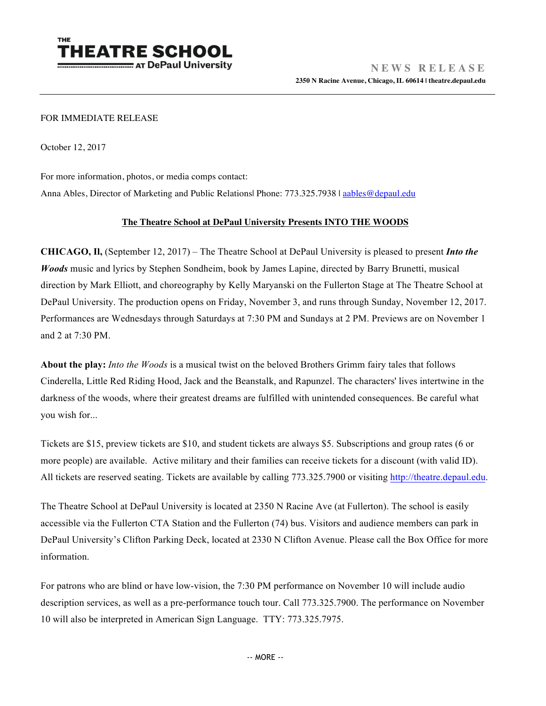

## FOR IMMEDIATE RELEASE

October 12, 2017

For more information, photos, or media comps contact:

Anna Ables, Director of Marketing and Public Relations| Phone: 773.325.7938 | aables@depaul.edu

## **The Theatre School at DePaul University Presents INTO THE WOODS**

**CHICAGO, Il,** (September 12, 2017) – The Theatre School at DePaul University is pleased to present *Into the Woods* music and lyrics by Stephen Sondheim, book by James Lapine, directed by Barry Brunetti, musical direction by Mark Elliott, and choreography by Kelly Maryanski on the Fullerton Stage at The Theatre School at DePaul University. The production opens on Friday, November 3, and runs through Sunday, November 12, 2017. Performances are Wednesdays through Saturdays at 7:30 PM and Sundays at 2 PM. Previews are on November 1 and 2 at 7:30 PM.

**About the play:** *Into the Woods* is a musical twist on the beloved Brothers Grimm fairy tales that follows Cinderella, Little Red Riding Hood, Jack and the Beanstalk, and Rapunzel. The characters' lives intertwine in the darkness of the woods, where their greatest dreams are fulfilled with unintended consequences. Be careful what you wish for...

Tickets are \$15, preview tickets are \$10, and student tickets are always \$5. Subscriptions and group rates (6 or more people) are available. Active military and their families can receive tickets for a discount (with valid ID). All tickets are reserved seating. Tickets are available by calling 773.325.7900 or visiting http://theatre.depaul.edu.

The Theatre School at DePaul University is located at 2350 N Racine Ave (at Fullerton). The school is easily accessible via the Fullerton CTA Station and the Fullerton (74) bus. Visitors and audience members can park in DePaul University's Clifton Parking Deck, located at 2330 N Clifton Avenue. Please call the Box Office for more information.

For patrons who are blind or have low-vision, the 7:30 PM performance on November 10 will include audio description services, as well as a pre-performance touch tour. Call 773.325.7900. The performance on November 10 will also be interpreted in American Sign Language. TTY: 773.325.7975.